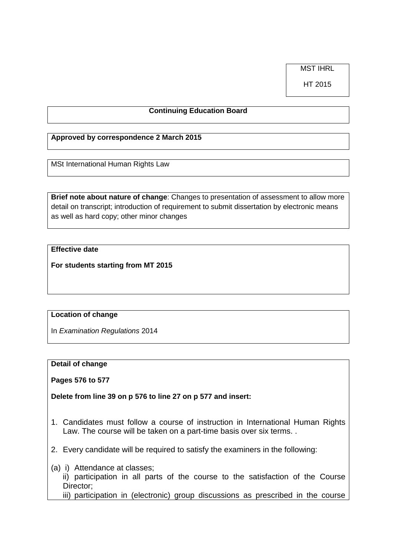MST IHRL

HT 2015

## **Continuing Education Board**

## **Approved by correspondence 2 March 2015**

MSt International Human Rights Law

**Brief note about nature of change**: Changes to presentation of assessment to allow more detail on transcript; introduction of requirement to submit dissertation by electronic means as well as hard copy; other minor changes

# **Effective date**

**For students starting from MT 2015**

### **Location of change**

In *Examination Regulations* 2014

#### **Detail of change**

**Pages 576 to 577**

**Delete from line 39 on p 576 to line 27 on p 577 and insert:**

- 1. Candidates must follow a course of instruction in International Human Rights Law. The course will be taken on a part-time basis over six terms. .
- 2. Every candidate will be required to satisfy the examiners in the following:
- (a) i) Attendance at classes;
	- ii) participation in all parts of the course to the satisfaction of the Course Director;
	- iii) participation in (electronic) group discussions as prescribed in the course